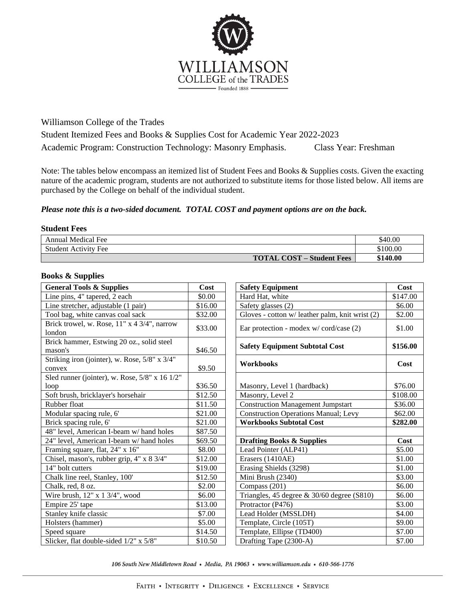

Williamson College of the Trades

Student Itemized Fees and Books & Supplies Cost for Academic Year 2022-2023 Academic Program: Construction Technology: Masonry Emphasis. Class Year: Freshman

Note: The tables below encompass an itemized list of Student Fees and Books & Supplies costs. Given the exacting nature of the academic program, students are not authorized to substitute items for those listed below. All items are purchased by the College on behalf of the individual student.

## *Please note this is a two-sided document. TOTAL COST and payment options are on the back.*

## **Student Fees**

| <b>Annual Medical Fee</b>        | \$40.00  |
|----------------------------------|----------|
| <b>Student Activity Fee</b>      | \$100.00 |
| <b>TOTAL COST – Student Fees</b> | \$140.00 |

## **Books & Supplies**

| <b>General Tools &amp; Supplies</b>                     | Cost    | <b>Safety Equipment</b>                         | Cost     |
|---------------------------------------------------------|---------|-------------------------------------------------|----------|
| Line pins, 4" tapered, 2 each                           | \$0.00  | Hard Hat, white                                 | \$147.00 |
| Line stretcher, adjustable (1 pair)                     | \$16.00 | Safety glasses (2)                              | \$6.00   |
| Tool bag, white canvas coal sack                        | \$32.00 | Gloves - cotton w/ leather palm, knit wrist (2) | \$2.00   |
| Brick trowel, w. Rose, 11" x 4 3/4", narrow<br>london   | \$33.00 | Ear protection - modex w/ cord/case (2)         | \$1.00   |
| Brick hammer, Estwing 20 oz., solid steel<br>mason's    | \$46.50 | <b>Safety Equipment Subtotal Cost</b>           | \$156.00 |
| Striking iron (jointer), w. Rose, 5/8" x 3/4"<br>convex | \$9.50  | <b>Workbooks</b>                                | Cost     |
| Sled runner (jointer), w. Rose, 5/8" x 16 1/2"          |         |                                                 |          |
| loop                                                    | \$36.50 | Masonry, Level 1 (hardback)                     | \$76.00  |
| Soft brush, bricklayer's horsehair                      | \$12.50 | Masonry, Level 2                                | \$108.00 |
| Rubber float                                            | \$11.50 | <b>Construction Management Jumpstart</b>        | \$36.00  |
| Modular spacing rule, 6'                                | \$21.00 | <b>Construction Operations Manual; Levy</b>     | \$62.00  |
| Brick spacing rule, 6'                                  | \$21.00 | <b>Workbooks Subtotal Cost</b>                  | \$282.00 |
| 48" level, American I-beam w/hand holes                 | \$87.50 |                                                 |          |
| 24" level, American I-beam w/hand holes                 | \$69.50 | <b>Drafting Books &amp; Supplies</b>            | Cost     |
| Framing square, flat, 24" x 16"                         | \$8.00  | Lead Pointer (ALP41)                            | \$5.00   |
| Chisel, mason's, rubber grip, 4" x 8 3/4"               | \$12.00 | Erasers (1410AE)                                | \$1.00   |
| 14" bolt cutters                                        | \$19.00 | Erasing Shields (3298)                          | \$1.00   |
| Chalk line reel, Stanley, 100'                          | \$12.50 | Mini Brush (2340)                               | \$3.00   |
| Chalk, red, 8 oz.                                       | \$2.00  | Compass (201)                                   | \$6.00   |
| Wire brush, 12" x 1 3/4", wood                          | \$6.00  | Triangles, 45 degree $\&$ 30/60 degree (S810)   | \$6.00   |
| Empire 25' tape                                         | \$13.00 | Protractor (P476)                               | \$3.00   |
| Stanley knife classic                                   | \$7.00  | Lead Holder (MSSLDH)                            | \$4.00   |
| Holsters (hammer)                                       | \$5.00  | Template, Circle (105T)                         | \$9.00   |
| Speed square                                            | \$14.50 | Template, Ellipse (TD400)                       | \$7.00   |
| Slicker, flat double-sided 1/2" x 5/8"                  | \$10.50 | Drafting Tape (2300-A)                          | \$7.00   |

106 South New Middletown Road • Media, PA 19063 • www.williamson.edu • 610-566-1776